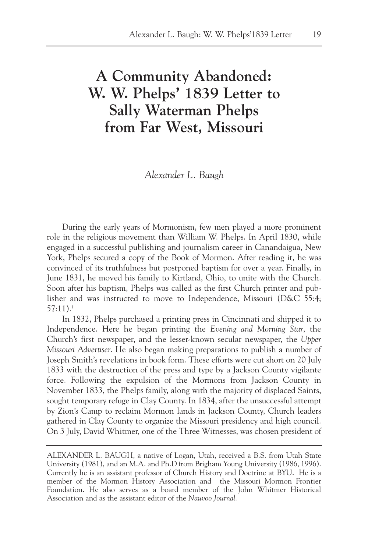## **A Community Abandoned: W. W. Phelps' 1839 Letter to Sally Waterman Phelps from Far West, Missouri**

*Alexander L. Baugh*

During the early years of Mormonism, few men played a more prominent role in the religious movement than William W. Phelps. In April 1830, while engaged in a successful publishing and journalism career in Canandaigua, New York, Phelps secured a copy of the Book of Mormon. After reading it, he was convinced of its truthfulness but postponed baptism for over a year. Finally, in June 1831, he moved his family to Kirtland, Ohio, to unite with the Church. Soon after his baptism, Phelps was called as the first Church printer and publisher and was instructed to move to Independence, Missouri (D&C 55:4; 57:11).1

In 1832, Phelps purchased a printing press in Cincinnati and shipped it to Independence. Here he began printing the *Evening and Morning Star*, the Church's first newspaper, and the lesser-known secular newspaper, the *Upper Missouri Advertiser*. He also began making preparations to publish a number of Joseph Smith's revelations in book form. These efforts were cut short on 20 July 1833 with the destruction of the press and type by a Jackson County vigilante force. Following the expulsion of the Mormons from Jackson County in November 1833, the Phelps family, along with the majority of displaced Saints, sought temporary refuge in Clay County. In 1834, after the unsuccessful attempt by Zion's Camp to reclaim Mormon lands in Jackson County, Church leaders gathered in Clay County to organize the Missouri presidency and high council. On 3 July, David Whitmer, one of the Three Witnesses, was chosen president of

ALEXANDER L. BAUGH, a native of Logan, Utah, received a B.S. from Utah State University (1981), and an M.A. and Ph.D from Brigham Young University (1986, 1996). Currently he is an assistant professor of Church History and Doctrine at BYU. He is a member of the Mormon History Association and the Missouri Mormon Frontier Foundation. He also serves as a board member of the John Whitmer Historical Association and as the assistant editor of the *Nauvoo Journal*.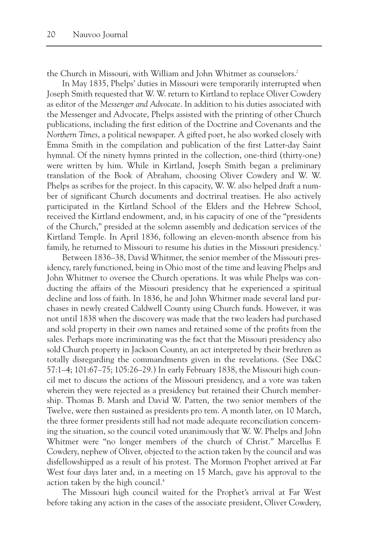the Church in Missouri, with William and John Whitmer as counselors.<sup>2</sup>

In May 1835, Phelps' duties in Missouri were temporarily interrupted when Joseph Smith requested that W. W. return to Kirtland to replace Oliver Cowdery as editor of the *Messenger and Advocate*. In addition to his duties associated with the Messenger and Advocate, Phelps assisted with the printing of other Church publications, including the first edition of the Doctrine and Covenants and the *Northern Times*, a political newspaper. A gifted poet, he also worked closely with Emma Smith in the compilation and publication of the first Latter-day Saint hymnal. Of the ninety hymns printed in the collection, one-third (thirty-one) were written by him. While in Kirtland, Joseph Smith began a preliminary translation of the Book of Abraham, choosing Oliver Cowdery and W. W. Phelps as scribes for the project. In this capacity, W. W. also helped draft a number of significant Church documents and doctrinal treatises. He also actively participated in the Kirtland School of the Elders and the Hebrew School, received the Kirtland endowment, and, in his capacity of one of the "presidents of the Church," presided at the solemn assembly and dedication services of the Kirtland Temple. In April 1836, following an eleven-month absence from his family, he returned to Missouri to resume his duties in the Missouri presidency.<sup>3</sup>

Between 1836–38, David Whitmer, the senior member of the Missouri presidency, rarely functioned, being in Ohio most of the time and leaving Phelps and John Whitmer to oversee the Church operations. It was while Phelps was conducting the affairs of the Missouri presidency that he experienced a spiritual decline and loss of faith. In 1836, he and John Whitmer made several land purchases in newly created Caldwell County using Church funds. However, it was not until 1838 when the discovery was made that the two leaders had purchased and sold property in their own names and retained some of the profits from the sales. Perhaps more incriminating was the fact that the Missouri presidency also sold Church property in Jackson County, an act interpreted by their brethren as totally disregarding the commandments given in the revelations. (See D&C 57:1–4; 101:67–75; 105:26–29.) In early February 1838, the Missouri high council met to discuss the actions of the Missouri presidency, and a vote was taken wherein they were rejected as a presidency but retained their Church membership. Thomas B. Marsh and David W. Patten, the two senior members of the Twelve, were then sustained as presidents pro tem. A month later, on 10 March, the three former presidents still had not made adequate reconciliation concerning the situation, so the council voted unanimously that W. W. Phelps and John Whitmer were "no longer members of the church of Christ." Marcellus F. Cowdery, nephew of Oliver, objected to the action taken by the council and was disfellowshipped as a result of his protest. The Mormon Prophet arrived at Far West four days later and, in a meeting on 15 March, gave his approval to the action taken by the high council.4

The Missouri high council waited for the Prophet's arrival at Far West before taking any action in the cases of the associate president, Oliver Cowdery,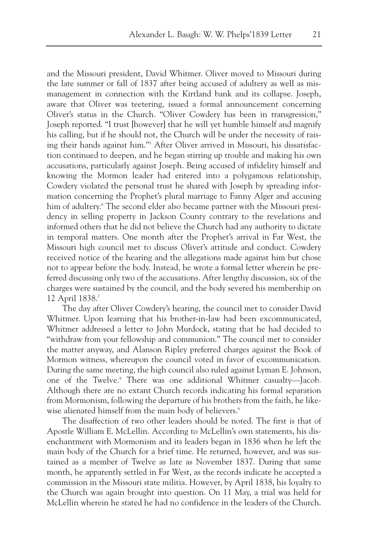and the Missouri president, David Whitmer. Oliver moved to Missouri during the late summer or fall of 1837 after being accused of adultery as well as mismanagement in connection with the Kirtland bank and its collapse. Joseph, aware that Oliver was teetering, issued a formal announcement concerning Oliver's status in the Church. "Oliver Cowdery has been in transgression," Joseph reported. "I trust [however] that he will yet humble himself and magnify his calling, but if he should not, the Church will be under the necessity of raising their hands against him."5 After Oliver arrived in Missouri, his dissatisfaction continued to deepen, and he began stirring up trouble and making his own accusations, particularly against Joseph. Being accused of infidelity himself and knowing the Mormon leader had entered into a polygamous relationship, Cowdery violated the personal trust he shared with Joseph by spreading information concerning the Prophet's plural marriage to Fanny Alger and accusing him of adultery.<sup>6</sup> The second elder also became partner with the Missouri presidency in selling property in Jackson County contrary to the revelations and informed others that he did not believe the Church had any authority to dictate in temporal matters. One month after the Prophet's arrival in Far West, the Missouri high council met to discuss Oliver's attitude and conduct. Cowdery received notice of the hearing and the allegations made against him but chose not to appear before the body. Instead, he wrote a formal letter wherein he preferred discussing only two of the accusations. After lengthy discussion, six of the charges were sustained by the council, and the body severed his membership on 12 April 1838.7

The day after Oliver Cowdery's hearing, the council met to consider David Whitmer. Upon learning that his brother-in-law had been excommunicated, Whitmer addressed a letter to John Murdock, stating that he had decided to "withdraw from your fellowship and communion." The council met to consider the matter anyway, and Alanson Ripley preferred charges against the Book of Mormon witness, whereupon the council voted in favor of excommunication. During the same meeting, the high council also ruled against Lyman E. Johnson, one of the Twelve.8 There was one additional Whitmer casualty—Jacob. Although there are no extant Church records indicating his formal separation from Mormonism, following the departure of his brothers from the faith, he likewise alienated himself from the main body of believers.<sup>9</sup>

The disaffection of two other leaders should be noted. The first is that of Apostle William E. McLellin. According to McLellin's own statements, his disenchantment with Mormonism and its leaders began in 1836 when he left the main body of the Church for a brief time. He returned, however, and was sustained as a member of Twelve as late as November 1837. During that same month, he apparently settled in Far West, as the records indicate he accepted a commission in the Missouri state militia. However, by April 1838, his loyalty to the Church was again brought into question. On 11 May, a trial was held for McLellin wherein he stated he had no confidence in the leaders of the Church.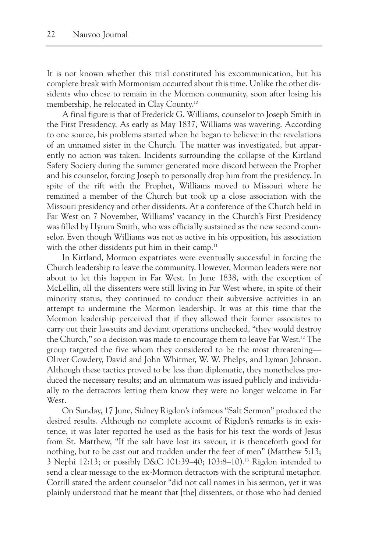It is not known whether this trial constituted his excommunication, but his complete break with Mormonism occurred about this time. Unlike the other dissidents who chose to remain in the Mormon community, soon after losing his membership, he relocated in Clay County.10

A final figure is that of Frederick G. Williams, counselor to Joseph Smith in the First Presidency. As early as May 1837, Williams was wavering. According to one source, his problems started when he began to believe in the revelations of an unnamed sister in the Church. The matter was investigated, but apparently no action was taken. Incidents surrounding the collapse of the Kirtland Safety Society during the summer generated more discord between the Prophet and his counselor, forcing Joseph to personally drop him from the presidency. In spite of the rift with the Prophet, Williams moved to Missouri where he remained a member of the Church but took up a close association with the Missouri presidency and other dissidents. At a conference of the Church held in Far West on 7 November, Williams' vacancy in the Church's First Presidency was filled by Hyrum Smith, who was officially sustained as the new second counselor. Even though Williams was not as active in his opposition, his association with the other dissidents put him in their camp.<sup>11</sup>

In Kirtland, Mormon expatriates were eventually successful in forcing the Church leadership to leave the community. However, Mormon leaders were not about to let this happen in Far West. In June 1838, with the exception of McLellin, all the dissenters were still living in Far West where, in spite of their minority status, they continued to conduct their subversive activities in an attempt to undermine the Mormon leadership. It was at this time that the Mormon leadership perceived that if they allowed their former associates to carry out their lawsuits and deviant operations unchecked, "they would destroy the Church," so a decision was made to encourage them to leave Far West.12 The group targeted the five whom they considered to be the most threatening— Oliver Cowdery, David and John Whitmer, W. W. Phelps, and Lyman Johnson. Although these tactics proved to be less than diplomatic, they nonetheless produced the necessary results; and an ultimatum was issued publicly and individually to the detractors letting them know they were no longer welcome in Far West.

On Sunday, 17 June, Sidney Rigdon's infamous "Salt Sermon" produced the desired results. Although no complete account of Rigdon's remarks is in existence, it was later reported he used as the basis for his text the words of Jesus from St. Matthew, "If the salt have lost its savour, it is thenceforth good for nothing, but to be cast out and trodden under the feet of men" (Matthew 5:13; 3 Nephi 12:13; or possibly D&C 101:39–40; 103:8–10).13 Rigdon intended to send a clear message to the ex-Mormon detractors with the scriptural metaphor. Corrill stated the ardent counselor "did not call names in his sermon, yet it was plainly understood that he meant that [the] dissenters, or those who had denied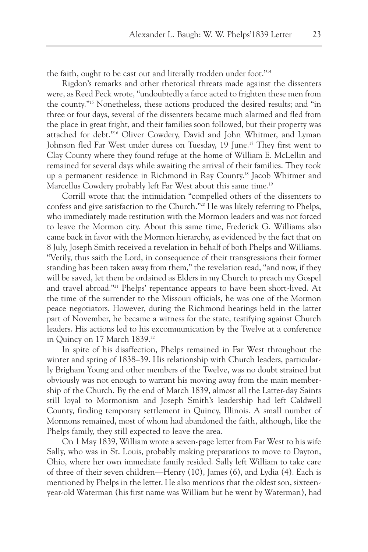the faith, ought to be cast out and literally trodden under foot."14

Rigdon's remarks and other rhetorical threats made against the dissenters were, as Reed Peck wrote, "undoubtedly a farce acted to frighten these men from the county."15 Nonetheless, these actions produced the desired results; and "in three or four days, several of the dissenters became much alarmed and fled from the place in great fright, and their families soon followed, but their property was attached for debt."16 Oliver Cowdery, David and John Whitmer, and Lyman Johnson fled Far West under duress on Tuesday, 19 June.<sup>17</sup> They first went to Clay County where they found refuge at the home of William E. McLellin and remained for several days while awaiting the arrival of their families. They took up a permanent residence in Richmond in Ray County.18 Jacob Whitmer and Marcellus Cowdery probably left Far West about this same time.<sup>19</sup>

Corrill wrote that the intimidation "compelled others of the dissenters to confess and give satisfaction to the Church."20 He was likely referring to Phelps, who immediately made restitution with the Mormon leaders and was not forced to leave the Mormon city. About this same time, Frederick G. Williams also came back in favor with the Mormon hierarchy, as evidenced by the fact that on 8 July, Joseph Smith received a revelation in behalf of both Phelps and Williams. "Verily, thus saith the Lord, in consequence of their transgressions their former standing has been taken away from them," the revelation read, "and now, if they will be saved, let them be ordained as Elders in my Church to preach my Gospel and travel abroad."21 Phelps' repentance appears to have been short-lived. At the time of the surrender to the Missouri officials, he was one of the Mormon peace negotiators. However, during the Richmond hearings held in the latter part of November, he became a witness for the state, testifying against Church leaders. His actions led to his excommunication by the Twelve at a conference in Quincy on 17 March 1839.<sup>22</sup>

In spite of his disaffection, Phelps remained in Far West throughout the winter and spring of 1838–39. His relationship with Church leaders, particularly Brigham Young and other members of the Twelve, was no doubt strained but obviously was not enough to warrant his moving away from the main membership of the Church. By the end of March 1839, almost all the Latter-day Saints still loyal to Mormonism and Joseph Smith's leadership had left Caldwell County, finding temporary settlement in Quincy, Illinois. A small number of Mormons remained, most of whom had abandoned the faith, although, like the Phelps family, they still expected to leave the area.

On 1 May 1839, William wrote a seven-page letter from Far West to his wife Sally, who was in St. Louis, probably making preparations to move to Dayton, Ohio, where her own immediate family resided. Sally left William to take care of three of their seven children—Henry (10), James (6), and Lydia (4). Each is mentioned by Phelps in the letter. He also mentions that the oldest son, sixteenyear-old Waterman (his first name was William but he went by Waterman), had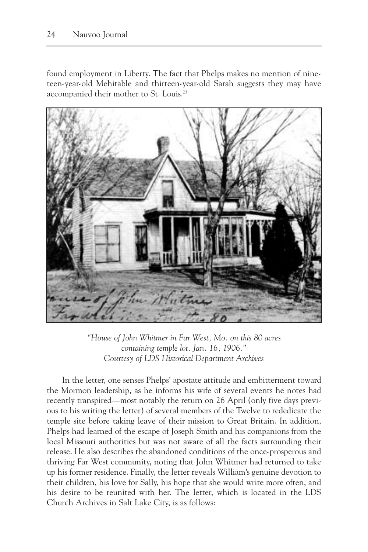found employment in Liberty. The fact that Phelps makes no mention of nineteen-year-old Mehitable and thirteen-year-old Sarah suggests they may have accompanied their mother to St. Louis.<sup>23</sup>



*"House of John Whitmer in Far West, Mo. on this 80 acres containing temple lot. Jan. 16, 1906." Courtesy of LDS Historical Department Archives*

In the letter, one senses Phelps' apostate attitude and embitterment toward the Mormon leadership, as he informs his wife of several events he notes had recently transpired—most notably the return on 26 April (only five days previous to his writing the letter) of several members of the Twelve to rededicate the temple site before taking leave of their mission to Great Britain. In addition, Phelps had learned of the escape of Joseph Smith and his companions from the local Missouri authorities but was not aware of all the facts surrounding their release. He also describes the abandoned conditions of the once-prosperous and thriving Far West community, noting that John Whitmer had returned to take up his former residence. Finally, the letter reveals William's genuine devotion to their children, his love for Sally, his hope that she would write more often, and his desire to be reunited with her. The letter, which is located in the LDS Church Archives in Salt Lake City, is as follows: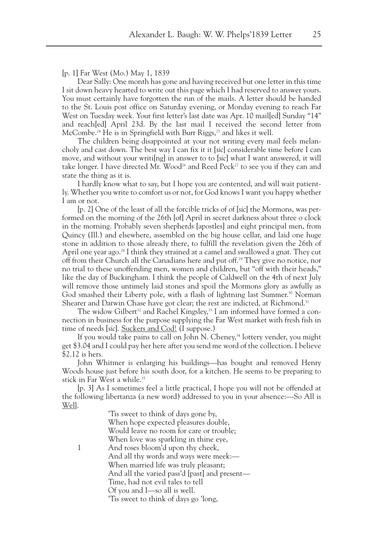[p. 1] Far West (Mo.) May 1, 1839

Dear Sally: One month has gone and having received but one letter in this time I sit down heavy hearted to write out this page which I had reserved to answer yours. You must certainly have forgotten the run of the mails. A letter should be handed to the St. Louis post office on Saturday evening, or Monday evening to reach Far West on Tuesday week. Your first letter's last date was Apr. 10 mail[ed] Sunday "14" and reach[ed] April 23d. By the last mail I received the second letter from McCombe.<sup>24</sup> He is in Springfield with Burr Riggs,<sup>25</sup> and likes it well.

The children being disappointed at your not writing every mail feels melancholy and cast down. The best way I can fix it it [*sic*] considerable time before I can move, and without your writi[ng] in answer to to [*sic*] what I want answered, it will take longer. I have directed Mr. Wood<sup>26</sup> and Reed Peck<sup>27</sup> to see you if they can and state the thing as it is.

I hardly know what to say, but I hope you are contented, and will wait patiently. Whether you write to comfort us or not, for God knows I want you happy whether I am or not.

[p. 2] One of the least of all the forcible tricks of of [*sic*] the Mormons, was performed on the morning of the 26th [of] April in secret darkness about three o clock in the morning. Probably seven shepherds [apostles] and eight principal men, from Quincy (Ill.) and elsewhere, assembled on the big house cellar, and laid one huge stone in addition to those already there, to fulfill the revelation given the 26th of April one year ago.<sup>28</sup> I think they strained at a camel and swallowed a gnat. They cut off from their Church all the Canadians here and put off.29 They give no notice, nor no trial to these unoffending men, women and children, but "off with their heads," like the day of Buckingham. I think the people of Caldwell on the 4th of next July will remove those untimely laid stones and spoil the Mormons glory as awfully as God smashed their Liberty pole, with a flash of lightning last Summer.<sup>30</sup> Norman Shearer and Darwin Chase have got clear; the rest are indicted, at Richmond.<sup>31</sup>

The widow Gilbert<sup>32</sup> and Rachel Kingsley,<sup>33</sup> I am informed have formed a connection in business for the purpose supplying the Far West market with fresh fish in time of needs [*sic*]. Suckers and Cod! (I suppose.)

If you would take pains to call on John N. Cheney,<sup>34</sup> lottery vender, you might get \$3.04 and I could pay her here after you send me word of the collection. I believe \$2.12 is hers.

John Whitmer is enlarging his buildings—has bought and removed Henry Woods house just before his south door, for a kitchen. He seems to be preparing to stick in Far West a while.<sup>35</sup>

[p. 3] As I sometimes feel a little practical, I hope you will not be offended at the following libertanza (a new word) addressed to you in your absence:—So All is Well.

> 'Tis sweet to think of days gone by, When hope expected pleasures double, Would leave no room for care or trouble; When love was sparkling in thine eye,

1 And roses bloom'd upon thy cheek, And all thy words and ways were meek:— When married life was truly pleasant; And all the varied pass'd [past] and present— Time, had not evil tales to tell Of you and I—so all is well.

'Tis sweet to think of days go 'long,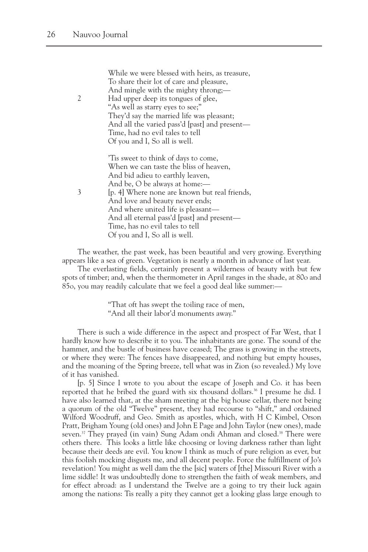While we were blessed with heirs, as treasure, To share their lot of care and pleasure, And mingle with the mighty throng;— 2 Had upper deep its tongues of glee, "As well as starry eyes to see;" They'd say the married life was pleasant; And all the varied pass'd [past] and present— Time, had no evil tales to tell Of you and I, So all is well. 'Tis sweet to think of days to come, When we can taste the bliss of heaven, And bid adieu to earthly leaven, And be, O be always at home:— 3 [p. 4] Where none are known but real friends, And love and beauty never ends; And where united life is pleasant— And all eternal pass'd [past] and present—

> Time, has no evil tales to tell Of you and I, So all is well.

The weather, the past week, has been beautiful and very growing. Everything appears like a sea of green. Vegetation is nearly a month in advance of last year.

The everlasting fields, certainly present a wilderness of beauty with but few spots of timber; and, when the thermometer in April ranges in the shade, at 80o and 85o, you may readily calculate that we feel a good deal like summer:—

> "That oft has swept the toiling race of men, "And all their labor'd monuments away."

There is such a wide difference in the aspect and prospect of Far West, that I hardly know how to describe it to you. The inhabitants are gone. The sound of the hammer, and the bustle of business have ceased; The grass is growing in the streets, or where they were: The fences have disappeared, and nothing but empty houses, and the moaning of the Spring breeze, tell what was in Zion (so revealed.) My love of it has vanished.

[p. 5] Since I wrote to you about the escape of Joseph and Co. it has been reported that he bribed the guard with six thousand dollars.<sup>36</sup> I presume he did. I have also learned that, at the sham meeting at the big house cellar, there not being a quorum of the old "Twelve" present, they had recourse to "shift," and ordained Wilford Woodruff, and Geo. Smith as apostles, which, with H C Kimbel, Orson Pratt, Brigham Young (old ones) and John E Page and John Taylor (new ones), made seven.<sup>37</sup> They prayed (in vain) Sung Adam ondi Ahman and closed.<sup>38</sup> There were others there. This looks a little like choosing or loving darkness rather than light because their deeds are evil. You know I think as much of pure religion as ever, but this foolish mocking disgusts me, and all decent people. Force the fulfillment of Jo's revelation! You might as well dam the the [sic] waters of [the] Missouri River with a lime siddle! It was undoubtedly done to strengthen the faith of weak members, and for effect abroad: as I understand the Twelve are a going to try their luck again among the nations: Tis really a pity they cannot get a looking glass large enough to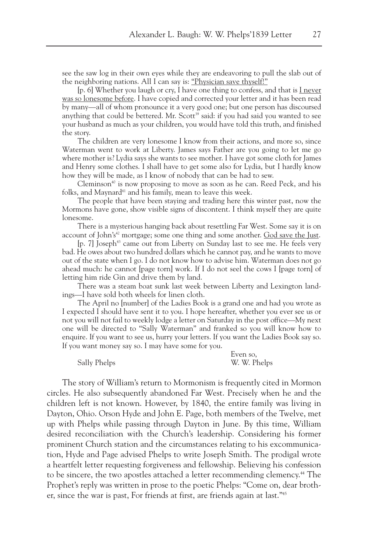see the saw log in their own eyes while they are endeavoring to pull the slab out of the neighboring nations. All I can say is: "Physician save thyself!"

[p. 6] Whether you laugh or cry, I have one thing to confess, and that is I never was so lonesome before. I have copied and corrected your letter and it has been read by many—all of whom pronounce it a very good one; but one person has discoursed anything that could be bettered. Mr. Scott<sup>39</sup> said: if you had said you wanted to see your husband as much as your children, you would have told this truth, and finished the story.

The children are very lonesome I know from their actions, and more so, since Waterman went to work at Liberty. James says Father are you going to let me go where mother is? Lydia says she wants to see mother. I have got some cloth for James and Henry some clothes. I shall have to get some also for Lydia, but I hardly know how they will be made, as I know of nobody that can be had to sew.

Cleminson<sup>40</sup> is now proposing to move as soon as he can. Reed Peck, and his folks, and Maynard<sup>41</sup> and his family, mean to leave this week.

The people that have been staying and trading here this winter past, now the Mormons have gone, show visible signs of discontent. I think myself they are quite lonesome.

There is a mysterious hanging back about resettling Far West. Some say it is on account of John's<sup>42</sup> mortgage; some one thing and some another. God save the Just.

[p. 7] Joseph<sup>43</sup> came out from Liberty on Sunday last to see me. He feels very bad. He owes about two hundred dollars which he cannot pay, and he wants to move out of the state when I go. I do not know how to advise him. Waterman does not go ahead much: he cannot [page torn] work. If I do not seel the cows I [page torn] of letting him ride Gin and drive them by land.

There was a steam boat sunk last week between Liberty and Lexington landings—I have sold both wheels for linen cloth.

The April no [number] of the Ladies Book is a grand one and had you wrote as I expected I should have sent it to you. I hope hereafter, whether you ever see us or not you will not fail to weekly lodge a letter on Saturday in the post office—My next one will be directed to "Sally Waterman" and franked so you will know how to enquire. If you want to see us, hurry your letters. If you want the Ladies Book say so. If you want money say so. I may have some for you.

Sally Phelps W. W. Phelps

Even so,

The story of William's return to Mormonism is frequently cited in Mormon circles. He also subsequently abandoned Far West. Precisely when he and the children left is not known. However, by 1840, the entire family was living in Dayton, Ohio. Orson Hyde and John E. Page, both members of the Twelve, met up with Phelps while passing through Dayton in June. By this time, William desired reconciliation with the Church's leadership. Considering his former prominent Church station and the circumstances relating to his excommunication, Hyde and Page advised Phelps to write Joseph Smith. The prodigal wrote a heartfelt letter requesting forgiveness and fellowship. Believing his confession to be sincere, the two apostles attached a letter recommending clemency. <sup>44</sup> The Prophet's reply was written in prose to the poetic Phelps: "Come on, dear brother, since the war is past, For friends at first, are friends again at last."45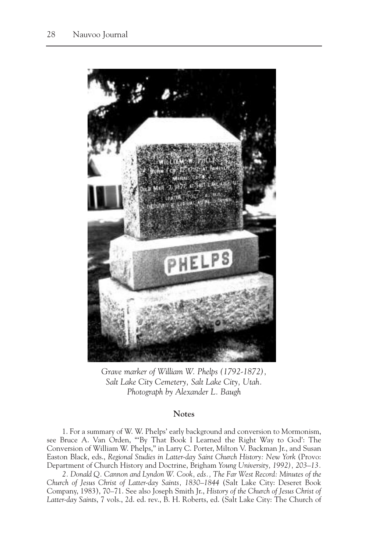

*Grave marker of William W. Phelps (1792-1872), Salt Lake City Cemetery, Salt Lake City, Utah. Photograph by Alexander L. Baugh*

## **Notes**

1. For a summary of W. W. Phelps' early background and conversion to Mormonism, see Bruce A. Van Orden, "'By That Book I Learned the Right Way to God': The Conversion of William W. Phelps," in Larry C. Porter, Milton V. Backman Jr., and Susan Easton Black, eds., *Regional Studies in Latter-day Saint Church History: New York* (Provo: Department of Church History and Doctrine, Brigham *Young University, 1992), 203–13.*

*2. Donald Q. Cannon and Lyndon W. Cook, eds., The Far West Record: Minutes of the Church of Jesus Christ of Latter-day Saints, 1830–1844* (Salt Lake City: Deseret Book Company, 1983), 70–71. See also Joseph Smith Jr., *History of the Church of Jesus Christ of Latter-day Saint*s, 7 vols., 2d. ed. rev., B. H. Roberts, ed. (Salt Lake City: The Church of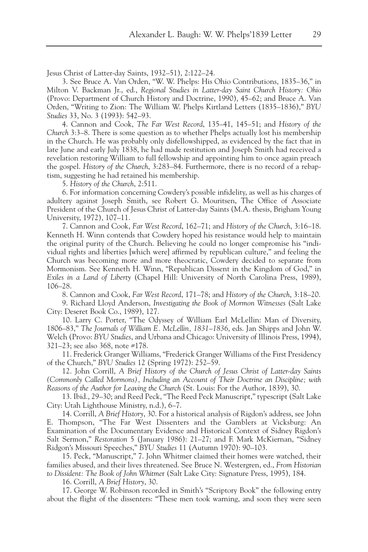Jesus Christ of Latter-day Saints, 1932–51), 2:122–24.

3. See Bruce A. Van Orden, "W. W. Phelps: His Ohio Contributions, 1835–36," in Milton V. Backman Jr., ed., *Regional Studies in Latter-day Saint Church History: Ohio* (Provo: Department of Church History and Doctrine, 1990), 45–62; and Bruce A. Van Orden, "Writing to Zion: The William W. Phelps Kirtland Letters (1835–1836)," *BYU Studies* 33, No. 3 (1993): 542–93.

4. Cannon and Cook, *The Far West Record*, 135–41, 145–51; and *History of the Church* 3:3–8. There is some question as to whether Phelps actually lost his membership in the Church. He was probably only disfellowshipped, as evidenced by the fact that in late June and early July 1838, he had made restitution and Joseph Smith had received a revelation restoring William to full fellowship and appointing him to once again preach the gospel. *History of the Church*, 3:283–84. Furthermore, there is no record of a rebaptism, suggesting he had retained his membership.

5. *History of the Church*, 2:511.

6. For information concerning Cowdery's possible infidelity, as well as his charges of adultery against Joseph Smith, see Robert G. Mouritsen, The Office of Associate President of the Church of Jesus Christ of Latter-day Saints (M.A. thesis, Brigham Young University, 1972), 107–11.

7. Cannon and Cook, *Far West Record*, 162–71; and *History of the Church*, 3:16–18. Kenneth H. Winn contends that Cowdery hoped his resistance would help to maintain the original purity of the Church. Believing he could no longer compromise his "individual rights and liberties [which were] affirmed by republican culture," and feeling the Church was becoming more and more theocratic, Cowdery decided to separate from Mormonism. See Kenneth H. Winn, "Republican Dissent in the Kingdom of God," in *Exiles in a Land of Liberty* (Chapel Hill: University of North Carolina Press, 1989), 106–28.

8. Cannon and Cook, *Far West Record*, 171–78; and *History of the Church*, 3:18–20.

9. Richard Lloyd Anderson, *Investigating the Book of Mormon Witnesses* (Salt Lake City: Deseret Book Co., 1989), 127.

10. Larry C. Porter, "The Odyssey of William Earl McLellin: Man of Diversity, 1806–83," *The Journals of William E. McLellin, 1831–1836*, eds. Jan Shipps and John W. Welch (Provo: *BYU Studies*, and Urbana and Chicago: University of Illinois Press, 1994), 321–23; see also 368, note #178.

11. Frederick Granger Williams, "Frederick Granger Williams of the First Presidency of the Church," *BYU Studies* 12 (Spring 1972): 252–59.

12. John Corrill, *A Brief History of the Church of Jesus Christ of Latter-day Saints (Commonly Called Mormons), Including an Account of Their Doctrine an Discipline; with Reasons of the Author for Leaving the Church* (St. Louis: For the Author, 1839), 30.

13. Ibid., 29–30; and Reed Peck, "The Reed Peck Manuscript," typescript (Salt Lake City: Utah Lighthouse Ministry, n.d.), 6–7.

14. Corrill, *A Brief History*, 30. For a historical analysis of Rigdon's address, see John E. Thompson, "The Far West Dissenters and the Gamblers at Vicksburg: An Examination of the Documentary Evidence and Historical Context of Sidney Rigdon's Salt Sermon," *Restoration* 5 (January 1986): 21–27; and F. Mark McKiernan, "Sidney Ridgon's Missouri Speeches," *BYU Studies* 11 (Autumn 1970): 90–103.

15. Peck, "Manuscript," 7. John Whitmer claimed their homes were watched, their families abused, and their lives threatened. See Bruce N. Westergren, ed., *From Historian to Dissident: The Book of John Whitme*r (Salt Lake City: Signature Press, 1995), 184.

16. Corrill, *A Brief History*, 30.

17. George W. Robinson recorded in Smith's "Scriptory Book" the following entry about the flight of the dissenters: "These men took warning, and soon they were seen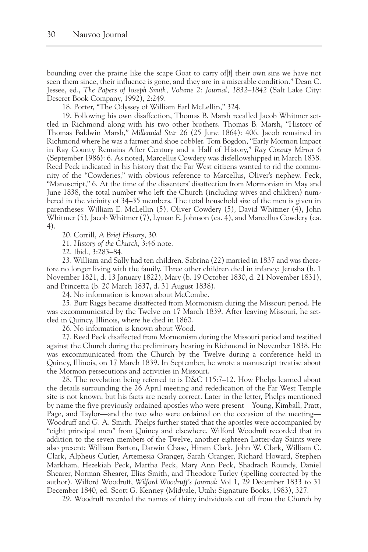bounding over the prairie like the scape Goat to carry of[f] their own sins we have not seen them since, their influence is gone, and they are in a miserable condition." Dean C. Jessee, ed., *The Papers of Joseph Smith, Volume 2: Journal, 1832–1842* (Salt Lake City: Deseret Book Company, 1992), 2:249.

18. Porter, "The Odyssey of William Earl McLellin," 324.

19. Following his own disaffection, Thomas B. Marsh recalled Jacob Whitmer settled in Richmond along with his two other brothers. Thomas B. Marsh, "History of Thomas Baldwin Marsh," *Millennial Star* 26 (25 June 1864): 406. Jacob remained in Richmond where he was a farmer and shoe cobbler. Tom Bogdon, "Early Mormon Impact in Ray County Remains After Century and a Half of History," *Ray County Mirror* 6 (September 1986): 6. As noted, Marcellus Cowdery was disfellowshipped in March 1838. Reed Peck indicated in his history that the Far West citizens wanted to rid the community of the "Cowderies," with obvious reference to Marcellus, Oliver's nephew. Peck, "Manuscript," 6. At the time of the dissenters' disaffection from Mormonism in May and June 1838, the total number who left the Church (including wives and children) numbered in the vicinity of 34–35 members. The total household size of the men is given in parentheses: William E. McLellin (5), Oliver Cowdery (5), David Whitmer (4), John Whitmer (5), Jacob Whitmer (7), Lyman E. Johnson (ca. 4), and Marcellus Cowdery (ca. 4).

20. Corrill, *A Brief History*, 30.

21. *History of the Church*, 3:46 note.

22. Ibid., 3:283–84.

23. William and Sally had ten children. Sabrina (22) married in 1837 and was therefore no longer living with the family. Three other children died in infancy: Jerusha (b. 1 November 1821, d. 13 January 1822), Mary (b. 19 October 1830, d. 21 November 1831), and Princetta (b. 20 March 1837, d. 31 August 1838).

24. No information is known about McCombe.

25. Burr Riggs became disaffected from Mormonism during the Missouri period. He was excommunicated by the Twelve on 17 March 1839. After leaving Missouri, he settled in Quincy, Illinois, where he died in 1860.

26. No information is known about Wood.

27. Reed Peck disaffected from Mormonism during the Missouri period and testified against the Church during the preliminary hearing in Richmond in November 1838. He was excommunicated from the Church by the Twelve during a conference held in Quincy, Illinois, on 17 March 1839. In September, he wrote a manuscript treatise about the Mormon persecutions and activities in Missouri.

28. The revelation being referred to is D&C 115:7–12. How Phelps learned about the details surrounding the 26 April meeting and rededication of the Far West Temple site is not known, but his facts are nearly correct. Later in the letter, Phelps mentioned by name the five previously ordained apostles who were present—Young, Kimball, Pratt, Page, and Taylor—and the two who were ordained on the occasion of the meeting— Woodruff and G. A. Smith. Phelps further stated that the apostles were accompanied by "eight principal men" from Quincy and elsewhere. Wilford Woodruff recorded that in addition to the seven members of the Twelve, another eighteen Latter-day Saints were also present: William Barton, Darwin Chase, Hiram Clark, John W. Clark, William C. Clark, Alpheus Cutler, Artemesia Granger, Sarah Granger, Richard Howard, Stephen Markham, Hezekiah Peck, Martha Peck, Mary Ann Peck, Shadrach Roundy, Daniel Shearer, Norman Shearer, Elias Smith, and Theodore Turley (spelling corrected by the author). Wilford Woodruff, *Wilford Woodruff's Journal*: Vol 1, 29 December 1833 to 31 December 1840, ed. Scott G. Kenney (Midvale, Utah: Signature Books, 1983), 327.

29. Woodruff recorded the names of thirty individuals cut off from the Church by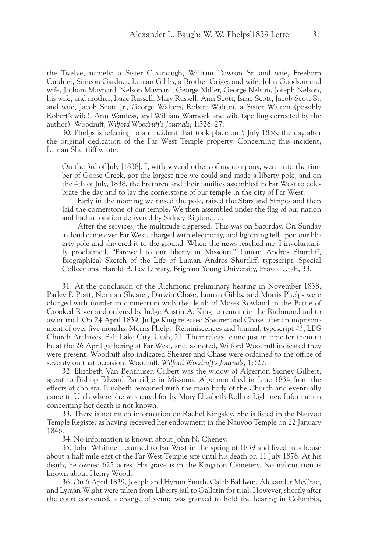the Twelve, namely: a Sister Cavanaugh, William Dawson Sr. and wife, Freeborn Gardner, Simeon Gardner, Luman Gibbs, a Brother Griggs and wife, John Goodson and wife, Jotham Maynard, Nelson Maynard, George Miller, George Nelson, Joseph Nelson, his wife, and mother, Isaac Russell, Mary Russell, Ann Scott, Isaac Scott, Jacob Scott Sr. and wife, Jacob Scott Jr., George Walters, Robert Walton, a Sister Walton (possibly Robert's wife), Ann Wanless, and William Warnock and wife (spelling corrected by the author). Woodruff, *Wilford Woodruff's Journals*, 1:326–27.

30. Phelps is referring to an incident that took place on 5 July 1838, the day after the original dedication of the Far West Temple property. Concerning this incident, Luman Shurtliff wrote:

On the 3rd of July [1838], I, with several others of my company, went into the timber of Goose Creek, got the largest tree we could and made a liberty pole, and on the 4th of July, 1838, the brethren and their families assembled in Far West to celebrate the day and to lay the cornerstone of our temple in the city of Far West.

Early in the morning we raised the pole, raised the Stars and Stripes and then laid the cornerstone of our temple. We then assembled under the flag of our nation and had an oration delivered by Sidney Rigdon. . . .

After the services, the multitude dispersed. This was on Saturday. On Sunday a cloud came over Far West, charged with electricity, and lightning fell upon our liberty pole and shivered it to the ground. When the news reached me, I involuntarily proclaimed, "Farewell to our liberty in Missouri." Luman Andros Shurtliff, Biographical Sketch of the Life of Luman Andros Shurtliff, typescript, Special Collections, Harold B. Lee Library, Brigham Young University, Provo, Utah, 33.

31. At the conclusion of the Richmond preliminary hearing in November 1838, Parley P. Pratt, Norman Shearer, Darwin Chase, Luman Gibbs, and Morris Phelps were charged with murder in connection with the death of Moses Rowland in the Battle of Crooked River and ordered by Judge Austin A. King to remain in the Richmond jail to await trial. On 24 April 1839, Judge King released Shearer and Chase after an imprisonment of over five months. Morris Phelps, Reminiscences and Journal, typescript #3, LDS Church Archives, Salt Lake City, Utah, 21. Their release came just in time for them to be at the 26 April gathering at Far West, and, as noted, Wilford Woodruff indicated they were present. Woodruff also indicated Shearer and Chase were ordained to the office of seventy on that occasion. Woodruff, *Wilford Woodruff's Journals*, 1:327.

32. Elizabeth Van Benthusen Gilbert was the widow of Algernon Sidney Gilbert, agent to Bishop Edward Partridge in Missouri. Algernon died in June 1834 from the effects of cholera. Elizabeth remained with the main body of the Church and eventually came to Utah where she was cared for by Mary Elizabeth Rollins Lightner. Information concerning her death is not known.

33. There is not much information on Rachel Kingsley. She is listed in the Nauvoo Temple Register as having received her endowment in the Nauvoo Temple on 22 January 1846.

34. No information is known about John N. Cheney.

35. John Whitmer returned to Far West in the spring of 1839 and lived in a house about a half mile east of the Far West Temple site until his death on 11 July 1878. At his death, he owned 625 acres. His grave is in the Kingston Cemetery. No information is known about Henry Woods.

36. On 6 April 1839, Joseph and Hyrum Smith, Caleb Baldwin, Alexander McCrae, and Lyman Wight were taken from Liberty jail to Gallatin for trial. However, shortly after the court convened, a change of venue was granted to hold the hearing in Columbia,